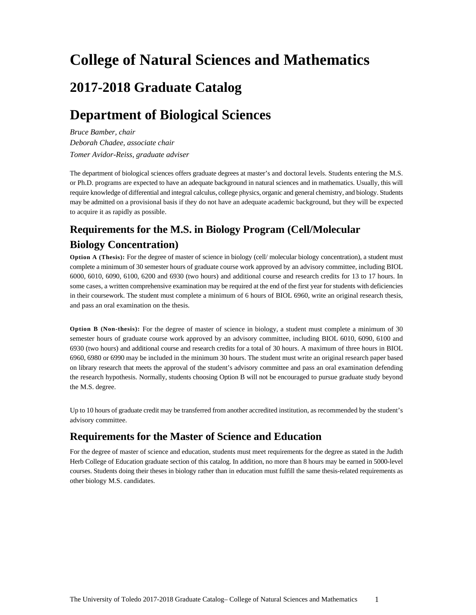# **College of Natural Sciences and Mathematics**

# **2017-2018 Graduate Catalog**

# **Department of Biological Sciences**

*Bruce Bamber, chair Deborah Chadee, associate chair Tomer Avidor-Reiss, graduate adviser* 

The department of biological sciences offers graduate degrees at master's and doctoral levels. Students entering the M.S. or Ph.D. programs are expected to have an adequate background in natural sciences and in mathematics. Usually, this will require knowledge of differential and integral calculus, college physics, organic and general chemistry, and biology. Students may be admitted on a provisional basis if they do not have an adequate academic background, but they will be expected to acquire it as rapidly as possible.

# **Requirements for the M.S. in Biology Program (Cell/Molecular Biology Concentration)**

**Option A (Thesis):** For the degree of master of science in biology (cell/ molecular biology concentration), a student must complete a minimum of 30 semester hours of graduate course work approved by an advisory committee, including BIOL 6000, 6010, 6090, 6100, 6200 and 6930 (two hours) and additional course and research credits for 13 to 17 hours. In some cases, a written comprehensive examination may be required at the end of the first year for students with deficiencies in their coursework. The student must complete a minimum of 6 hours of BIOL 6960, write an original research thesis, and pass an oral examination on the thesis.

**Option B (Non-thesis):** For the degree of master of science in biology, a student must complete a minimum of 30 semester hours of graduate course work approved by an advisory committee, including BIOL 6010, 6090, 6100 and 6930 (two hours) and additional course and research credits for a total of 30 hours. A maximum of three hours in BIOL 6960, 6980 or 6990 may be included in the minimum 30 hours. The student must write an original research paper based on library research that meets the approval of the student's advisory committee and pass an oral examination defending the research hypothesis. Normally, students choosing Option B will not be encouraged to pursue graduate study beyond the M.S. degree.

Up to 10 hours of graduate credit may be transferred from another accredited institution, as recommended by the student's advisory committee.

# **Requirements for the Master of Science and Education**

For the degree of master of science and education, students must meet requirements for the degree as stated in the Judith Herb College of Education graduate section of this catalog. In addition, no more than 8 hours may be earned in 5000-level courses. Students doing their theses in biology rather than in education must fulfill the same thesis-related requirements as other biology M.S. candidates.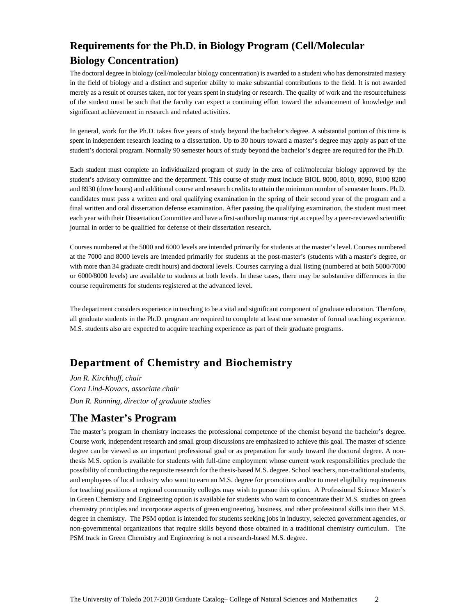# **Requirements for the Ph.D. in Biology Program (Cell/Molecular Biology Concentration)**

The doctoral degree in biology (cell/molecular biology concentration) is awarded to a student who has demonstrated mastery in the field of biology and a distinct and superior ability to make substantial contributions to the field. It is not awarded merely as a result of courses taken, nor for years spent in studying or research. The quality of work and the resourcefulness of the student must be such that the faculty can expect a continuing effort toward the advancement of knowledge and significant achievement in research and related activities.

In general, work for the Ph.D. takes five years of study beyond the bachelor's degree. A substantial portion of this time is spent in independent research leading to a dissertation. Up to 30 hours toward a master's degree may apply as part of the student's doctoral program. Normally 90 semester hours of study beyond the bachelor's degree are required for the Ph.D.

Each student must complete an individualized program of study in the area of cell/molecular biology approved by the student's advisory committee and the department. This course of study must include BIOL 8000, 8010, 8090, 8100 8200 and 8930 (three hours) and additional course and research credits to attain the minimum number of semester hours. Ph.D. candidates must pass a written and oral qualifying examination in the spring of their second year of the program and a final written and oral dissertation defense examination. After passing the qualifying examination, the student must meet each year with their Dissertation Committee and have a first-authorship manuscript accepted by a peer-reviewed scientific journal in order to be qualified for defense of their dissertation research.

Courses numbered at the 5000 and 6000 levels are intended primarily for students at the master's level. Courses numbered at the 7000 and 8000 levels are intended primarily for students at the post-master's (students with a master's degree, or with more than 34 graduate credit hours) and doctoral levels. Courses carrying a dual listing (numbered at both 5000/7000 or 6000/8000 levels) are available to students at both levels. In these cases, there may be substantive differences in the course requirements for students registered at the advanced level.

The department considers experience in teaching to be a vital and significant component of graduate education. Therefore, all graduate students in the Ph.D. program are required to complete at least one semester of formal teaching experience. M.S. students also are expected to acquire teaching experience as part of their graduate programs.

# **Department of Chemistry and Biochemistry**

*Jon R. Kirchhoff, chair Cora Lind-Kovacs, associate chair Don R. Ronning, director of graduate studies* 

# **The Master's Program**

The master's program in chemistry increases the professional competence of the chemist beyond the bachelor's degree. Course work, independent research and small group discussions are emphasized to achieve this goal. The master of science degree can be viewed as an important professional goal or as preparation for study toward the doctoral degree. A nonthesis M.S. option is available for students with full-time employment whose current work responsibilities preclude the possibility of conducting the requisite research for the thesis-based M.S. degree. School teachers, non-traditional students, and employees of local industry who want to earn an M.S. degree for promotions and/or to meet eligibility requirements for teaching positions at regional community colleges may wish to pursue this option. A Professional Science Master's in Green Chemistry and Engineering option is available for students who want to concentrate their M.S. studies on green chemistry principles and incorporate aspects of green engineering, business, and other professional skills into their M.S. degree in chemistry. The PSM option is intended for students seeking jobs in industry, selected government agencies, or non-governmental organizations that require skills beyond those obtained in a traditional chemistry curriculum. The PSM track in Green Chemistry and Engineering is not a research-based M.S. degree.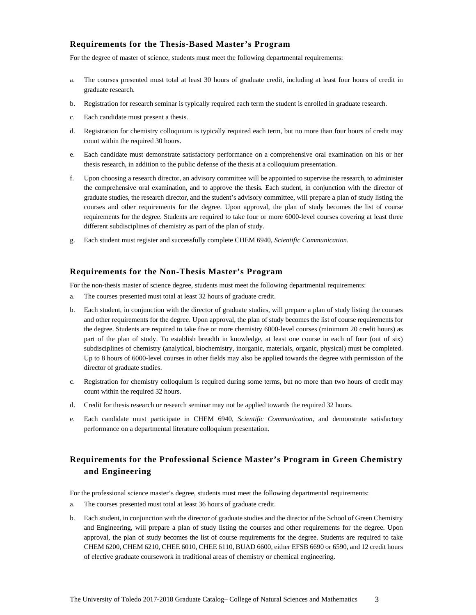### **Requirements for the Thesis-Based Master's Program**

For the degree of master of science, students must meet the following departmental requirements:

- a. The courses presented must total at least 30 hours of graduate credit, including at least four hours of credit in graduate research.
- b. Registration for research seminar is typically required each term the student is enrolled in graduate research.
- c. Each candidate must present a thesis.
- d. Registration for chemistry colloquium is typically required each term, but no more than four hours of credit may count within the required 30 hours.
- e. Each candidate must demonstrate satisfactory performance on a comprehensive oral examination on his or her thesis research, in addition to the public defense of the thesis at a colloquium presentation.
- f. Upon choosing a research director, an advisory committee will be appointed to supervise the research, to administer the comprehensive oral examination, and to approve the thesis. Each student, in conjunction with the director of graduate studies, the research director, and the student's advisory committee, will prepare a plan of study listing the courses and other requirements for the degree. Upon approval, the plan of study becomes the list of course requirements for the degree. Students are required to take four or more 6000-level courses covering at least three different subdisciplines of chemistry as part of the plan of study.
- g. Each student must register and successfully complete CHEM 6940, *Scientific Communication*.

#### **Requirements for the Non-Thesis Master's Program**

For the non-thesis master of science degree, students must meet the following departmental requirements:

- a. The courses presented must total at least 32 hours of graduate credit.
- b. Each student, in conjunction with the director of graduate studies, will prepare a plan of study listing the courses and other requirements for the degree. Upon approval, the plan of study becomes the list of course requirements for the degree. Students are required to take five or more chemistry 6000-level courses (minimum 20 credit hours) as part of the plan of study. To establish breadth in knowledge, at least one course in each of four (out of six) subdisciplines of chemistry (analytical, biochemistry, inorganic, materials, organic, physical) must be completed. Up to 8 hours of 6000-level courses in other fields may also be applied towards the degree with permission of the director of graduate studies.
- c. Registration for chemistry colloquium is required during some terms, but no more than two hours of credit may count within the required 32 hours.
- d. Credit for thesis research or research seminar may not be applied towards the required 32 hours.
- e. Each candidate must participate in CHEM 6940, *Scientific Communication*, and demonstrate satisfactory performance on a departmental literature colloquium presentation.

### **Requirements for the Professional Science Master's Program in Green Chemistry and Engineering**

For the professional science master's degree, students must meet the following departmental requirements:

- a. The courses presented must total at least 36 hours of graduate credit.
- b. Each student, in conjunction with the director of graduate studies and the director of the School of Green Chemistry and Engineering, will prepare a plan of study listing the courses and other requirements for the degree. Upon approval, the plan of study becomes the list of course requirements for the degree. Students are required to take CHEM 6200, CHEM 6210, CHEE 6010, CHEE 6110, BUAD 6600, either EFSB 6690 or 6590, and 12 credit hours of elective graduate coursework in traditional areas of chemistry or chemical engineering.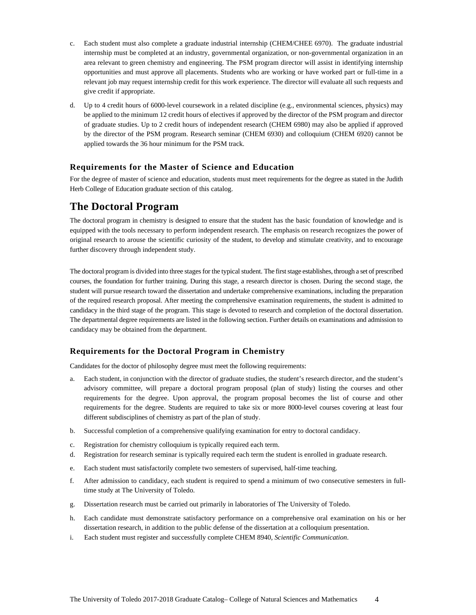- c. Each student must also complete a graduate industrial internship (CHEM/CHEE 6970). The graduate industrial internship must be completed at an industry, governmental organization, or non-governmental organization in an area relevant to green chemistry and engineering. The PSM program director will assist in identifying internship opportunities and must approve all placements. Students who are working or have worked part or full-time in a relevant job may request internship credit for this work experience. The director will evaluate all such requests and give credit if appropriate.
- d. Up to 4 credit hours of 6000-level coursework in a related discipline (e.g., environmental sciences, physics) may be applied to the minimum 12 credit hours of electives if approved by the director of the PSM program and director of graduate studies. Up to 2 credit hours of independent research (CHEM 6980) may also be applied if approved by the director of the PSM program. Research seminar (CHEM 6930) and colloquium (CHEM 6920) cannot be applied towards the 36 hour minimum for the PSM track.

### **Requirements for the Master of Science and Education**

For the degree of master of science and education, students must meet requirements for the degree as stated in the Judith Herb College of Education graduate section of this catalog.

## **The Doctoral Program**

The doctoral program in chemistry is designed to ensure that the student has the basic foundation of knowledge and is equipped with the tools necessary to perform independent research. The emphasis on research recognizes the power of original research to arouse the scientific curiosity of the student, to develop and stimulate creativity, and to encourage further discovery through independent study.

The doctoral program is divided into three stages for the typical student. The first stage establishes, through a set of prescribed courses, the foundation for further training. During this stage, a research director is chosen. During the second stage, the student will pursue research toward the dissertation and undertake comprehensive examinations, including the preparation of the required research proposal. After meeting the comprehensive examination requirements, the student is admitted to candidacy in the third stage of the program. This stage is devoted to research and completion of the doctoral dissertation. The departmental degree requirements are listed in the following section. Further details on examinations and admission to candidacy may be obtained from the department.

#### **Requirements for the Doctoral Program in Chemistry**

Candidates for the doctor of philosophy degree must meet the following requirements:

- a. Each student, in conjunction with the director of graduate studies, the student's research director, and the student's advisory committee, will prepare a doctoral program proposal (plan of study) listing the courses and other requirements for the degree. Upon approval, the program proposal becomes the list of course and other requirements for the degree. Students are required to take six or more 8000-level courses covering at least four different subdisciplines of chemistry as part of the plan of study.
- b. Successful completion of a comprehensive qualifying examination for entry to doctoral candidacy.
- c. Registration for chemistry colloquium is typically required each term.
- d. Registration for research seminar is typically required each term the student is enrolled in graduate research.
- e. Each student must satisfactorily complete two semesters of supervised, half-time teaching.
- f. After admission to candidacy, each student is required to spend a minimum of two consecutive semesters in fulltime study at The University of Toledo.
- g. Dissertation research must be carried out primarily in laboratories of The University of Toledo.
- h. Each candidate must demonstrate satisfactory performance on a comprehensive oral examination on his or her dissertation research, in addition to the public defense of the dissertation at a colloquium presentation.
- i. Each student must register and successfully complete CHEM 8940, *Scientific Communication*.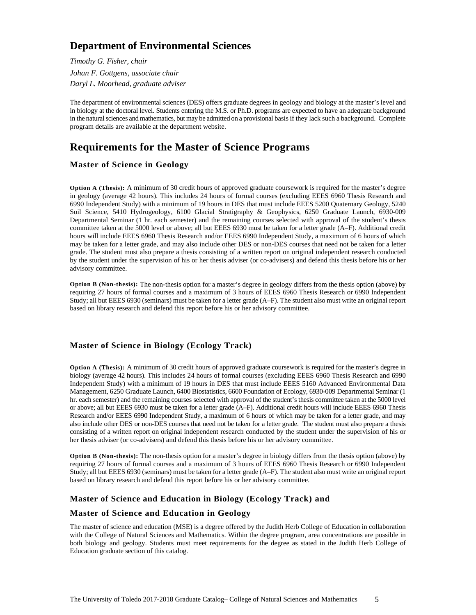# **Department of Environmental Sciences**

*Timothy G. Fisher, chair Johan F. Gottgens, associate chair Daryl L. Moorhead, graduate adviser* 

The department of environmental sciences (DES) offers graduate degrees in geology and biology at the master's level and in biology at the doctoral level. Students entering the M.S. or Ph.D. programs are expected to have an adequate background in the natural sciences and mathematics, but may be admitted on a provisional basis if they lack such a background. Complete program details are available at the department website.

# **Requirements for the Master of Science Programs**

### **Master of Science in Geology**

**Option A (Thesis):** A minimum of 30 credit hours of approved graduate coursework is required for the master's degree in geology (average 42 hours). This includes 24 hours of formal courses (excluding EEES 6960 Thesis Research and 6990 Independent Study) with a minimum of 19 hours in DES that must include EEES 5200 Quaternary Geology, 5240 Soil Science, 5410 Hydrogeology, 6100 Glacial Stratigraphy & Geophysics, 6250 Graduate Launch, 6930-009 Departmental Seminar (1 hr. each semester) and the remaining courses selected with approval of the student's thesis committee taken at the 5000 level or above; all but EEES 6930 must be taken for a letter grade (A–F). Additional credit hours will include EEES 6960 Thesis Research and/or EEES 6990 Independent Study, a maximum of 6 hours of which may be taken for a letter grade, and may also include other DES or non-DES courses that need not be taken for a letter grade. The student must also prepare a thesis consisting of a written report on original independent research conducted by the student under the supervision of his or her thesis adviser (or co-advisers) and defend this thesis before his or her advisory committee.

**Option B (Non-thesis):** The non-thesis option for a master's degree in geology differs from the thesis option (above) by requiring 27 hours of formal courses and a maximum of 3 hours of EEES 6960 Thesis Research or 6990 Independent Study; all but EEES 6930 (seminars) must be taken for a letter grade (A–F). The student also must write an original report based on library research and defend this report before his or her advisory committee.

### **Master of Science in Biology (Ecology Track)**

**Option A (Thesis):** A minimum of 30 credit hours of approved graduate coursework is required for the master's degree in biology (average 42 hours). This includes 24 hours of formal courses (excluding EEES 6960 Thesis Research and 6990 Independent Study) with a minimum of 19 hours in DES that must include EEES 5160 Advanced Environmental Data Management, 6250 Graduate Launch, 6400 Biostatistics, 6600 Foundation of Ecology, 6930-009 Departmental Seminar (1 hr. each semester) and the remaining courses selected with approval of the student's thesis committee taken at the 5000 level or above; all but EEES 6930 must be taken for a letter grade (A–F). Additional credit hours will include EEES 6960 Thesis Research and/or EEES 6990 Independent Study, a maximum of 6 hours of which may be taken for a letter grade, and may also include other DES or non-DES courses that need not be taken for a letter grade. The student must also prepare a thesis consisting of a written report on original independent research conducted by the student under the supervision of his or her thesis adviser (or co-advisers) and defend this thesis before his or her advisory committee.

**Option B (Non-thesis):** The non-thesis option for a master's degree in biology differs from the thesis option (above) by requiring 27 hours of formal courses and a maximum of 3 hours of EEES 6960 Thesis Research or 6990 Independent Study; all but EEES 6930 (seminars) must be taken for a letter grade (A–F). The student also must write an original report based on library research and defend this report before his or her advisory committee.

### **Master of Science and Education in Biology (Ecology Track) and**

### **Master of Science and Education in Geology**

The master of science and education (MSE) is a degree offered by the Judith Herb College of Education in collaboration with the College of Natural Sciences and Mathematics. Within the degree program, area concentrations are possible in both biology and geology. Students must meet requirements for the degree as stated in the Judith Herb College of Education graduate section of this catalog.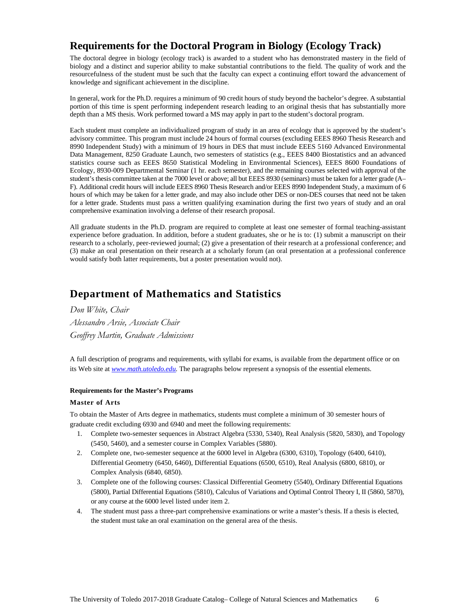# **Requirements for the Doctoral Program in Biology (Ecology Track)**

The doctoral degree in biology (ecology track) is awarded to a student who has demonstrated mastery in the field of biology and a distinct and superior ability to make substantial contributions to the field. The quality of work and the resourcefulness of the student must be such that the faculty can expect a continuing effort toward the advancement of knowledge and significant achievement in the discipline.

In general, work for the Ph.D. requires a minimum of 90 credit hours of study beyond the bachelor's degree. A substantial portion of this time is spent performing independent research leading to an original thesis that has substantially more depth than a MS thesis. Work performed toward a MS may apply in part to the student's doctoral program.

Each student must complete an individualized program of study in an area of ecology that is approved by the student's advisory committee. This program must include 24 hours of formal courses (excluding EEES 8960 Thesis Research and 8990 Independent Study) with a minimum of 19 hours in DES that must include EEES 5160 Advanced Environmental Data Management, 8250 Graduate Launch, two semesters of statistics (e.g., EEES 8400 Biostatistics and an advanced statistics course such as EEES 8650 Statistical Modeling in Environmental Sciences), EEES 8600 Foundations of Ecology, 8930-009 Departmental Seminar (1 hr. each semester), and the remaining courses selected with approval of the student's thesis committee taken at the 7000 level or above; all but EEES 8930 (seminars) must be taken for a letter grade (A– F). Additional credit hours will include EEES 8960 Thesis Research and/or EEES 8990 Independent Study, a maximum of 6 hours of which may be taken for a letter grade, and may also include other DES or non-DES courses that need not be taken for a letter grade. Students must pass a written qualifying examination during the first two years of study and an oral comprehensive examination involving a defense of their research proposal.

All graduate students in the Ph.D. program are required to complete at least one semester of formal teaching-assistant experience before graduation. In addition, before a student graduates, she or he is to: (1) submit a manuscript on their research to a scholarly, peer-reviewed journal; (2) give a presentation of their research at a professional conference; and (3) make an oral presentation on their research at a scholarly forum (an oral presentation at a professional conference would satisfy both latter requirements, but a poster presentation would not).

# **Department of Mathematics and Statistics**

## *Don White, Chair Alessandro Arsie, Associate Chair Geoffrey Martin, Graduate Admissions*

A full description of programs and requirements, with syllabi for exams, is available from the department office or on its Web site at *www.math.utoledo.edu.* The paragraphs below represent a synopsis of the essential elements.

#### **Requirements for the Master's Programs**

#### **Master of Arts**

To obtain the Master of Arts degree in mathematics, students must complete a minimum of 30 semester hours of graduate credit excluding 6930 and 6940 and meet the following requirements:

- 1. Complete two-semester sequences in Abstract Algebra (5330, 5340), Real Analysis (5820, 5830), and Topology (5450, 5460), and a semester course in Complex Variables (5880).
- 2. Complete one, two-semester sequence at the 6000 level in Algebra (6300, 6310), Topology (6400, 6410), Differential Geometry (6450, 6460), Differential Equations (6500, 6510), Real Analysis (6800, 6810), or Complex Analysis (6840, 6850).
- 3. Complete one of the following courses: Classical Differential Geometry (5540), Ordinary Differential Equations (5800), Partial Differential Equations (5810), Calculus of Variations and Optimal Control Theory I, II (5860, 5870), or any course at the 6000 level listed under item 2.
- 4. The student must pass a three-part comprehensive examinations or write a master's thesis. If a thesis is elected, the student must take an oral examination on the general area of the thesis.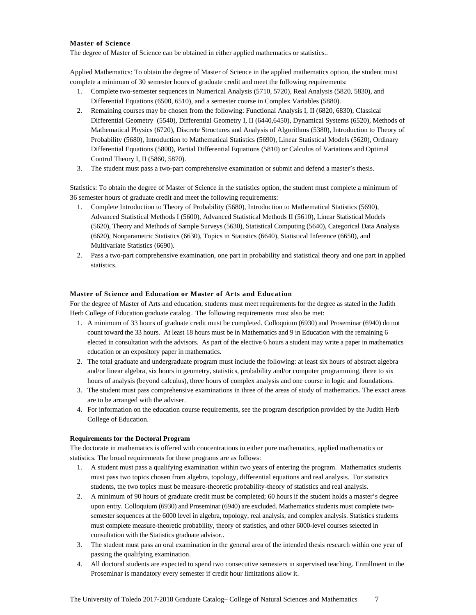#### **Master of Science**

The degree of Master of Science can be obtained in either applied mathematics or statistics..

Applied Mathematics: To obtain the degree of Master of Science in the applied mathematics option, the student must complete a minimum of 30 semester hours of graduate credit and meet the following requirements:

- 1. Complete two-semester sequences in Numerical Analysis (5710, 5720), Real Analysis (5820, 5830), and Differential Equations (6500, 6510), and a semester course in Complex Variables (5880).
- 2. Remaining courses may be chosen from the following: Functional Analysis I, II (6820, 6830), Classical Differential Geometry (5540), Differential Geometry I, II (6440,6450), Dynamical Systems (6520), Methods of Mathematical Physics (6720), Discrete Structures and Analysis of Algorithms (5380), Introduction to Theory of Probability (5680), Introduction to Mathematical Statistics (5690), Linear Statistical Models (5620), Ordinary Differential Equations (5800), Partial Differential Equations (5810) or Calculus of Variations and Optimal Control Theory I, II (5860, 5870).
- 3. The student must pass a two-part comprehensive examination or submit and defend a master's thesis.

Statistics: To obtain the degree of Master of Science in the statistics option, the student must complete a minimum of 36 semester hours of graduate credit and meet the following requirements:

- 1. Complete Introduction to Theory of Probability (5680), Introduction to Mathematical Statistics (5690), Advanced Statistical Methods I (5600), Advanced Statistical Methods II (5610), Linear Statistical Models (5620), Theory and Methods of Sample Surveys (5630), Statistical Computing (5640), Categorical Data Analysis (6620), Nonparametric Statistics (6630), Topics in Statistics (6640), Statistical Inference (6650), and Multivariate Statistics (6690).
- 2. Pass a two-part comprehensive examination, one part in probability and statistical theory and one part in applied statistics.

#### **Master of Science and Education or Master of Arts and Education**

For the degree of Master of Arts and education, students must meet requirements for the degree as stated in the Judith Herb College of Education graduate catalog. The following requirements must also be met:

- 1. A minimum of 33 hours of graduate credit must be completed. Colloquium (6930) and Proseminar (6940) do not count toward the 33 hours. At least 18 hours must be in Mathematics and 9 in Education with the remaining 6 elected in consultation with the advisors. As part of the elective 6 hours a student may write a paper in mathematics education or an expository paper in mathematics.
- 2. The total graduate and undergraduate program must include the following: at least six hours of abstract algebra and/or linear algebra, six hours in geometry, statistics, probability and/or computer programming, three to six hours of analysis (beyond calculus), three hours of complex analysis and one course in logic and foundations.
- 3. The student must pass comprehensive examinations in three of the areas of study of mathematics. The exact areas are to be arranged with the adviser.
- 4. For information on the education course requirements, see the program description provided by the Judith Herb College of Education.

#### **Requirements for the Doctoral Program**

The doctorate in mathematics is offered with concentrations in either pure mathematics, applied mathematics or statistics. The broad requirements for these programs are as follows:

- 1. A student must pass a qualifying examination within two years of entering the program. Mathematics students must pass two topics chosen from algebra, topology, differential equations and real analysis. For statistics students, the two topics must be measure-theoretic probability-theory of statistics and real analysis.
- 2. A minimum of 90 hours of graduate credit must be completed; 60 hours if the student holds a master's degree upon entry. Colloquium (6930) and Proseminar (6940) are excluded. Mathematics students must complete twosemester sequences at the 6000 level in algebra, topology, real analysis, and complex analysis. Statistics students must complete measure-theoretic probability, theory of statistics, and other 6000-level courses selected in consultation with the Statistics graduate advisor..
- 3. The student must pass an oral examination in the general area of the intended thesis research within one year of passing the qualifying examination.
- 4. All doctoral students are expected to spend two consecutive semesters in supervised teaching. Enrollment in the Proseminar is mandatory every semester if credit hour limitations allow it.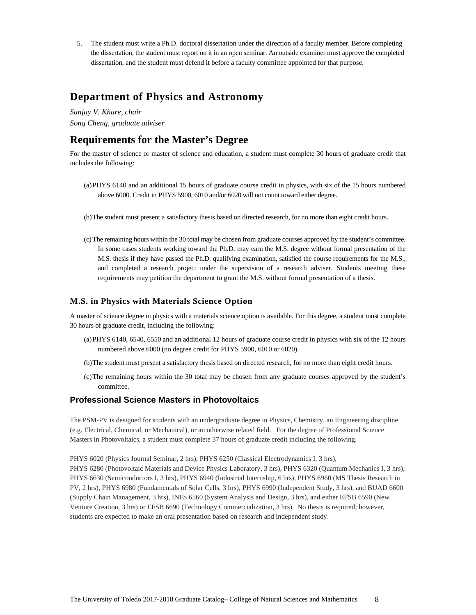5. The student must write a Ph.D. doctoral dissertation under the direction of a faculty member. Before completing the dissertation, the student must report on it in an open seminar. An outside examiner must approve the completed dissertation, and the student must defend it before a faculty committee appointed for that purpose.

## **Department of Physics and Astronomy**

*Sanjay V. Khare, chair Song Cheng, graduate adviser* 

# **Requirements for the Master's Degree**

For the master of science or master of science and education, a student must complete 30 hours of graduate credit that includes the following:

- (a) PHYS 6140 and an additional 15 hours of graduate course credit in physics, with six of the 15 hours numbered above 6000. Credit in PHYS 5900, 6010 and/or 6020 will not count toward either degree.
- (b) The student must present a satisfactory thesis based on directed research, for no more than eight credit hours.
- (c) The remaining hours within the 30 total may be chosen from graduate courses approved by the student's committee. In some cases students working toward the Ph.D. may earn the M.S. degree without formal presentation of the M.S. thesis if they have passed the Ph.D. qualifying examination, satisfied the course requirements for the M.S., and completed a research project under the supervision of a research adviser. Students meeting these requirements may petition the department to grant the M.S. without formal presentation of a thesis.

### **M.S. in Physics with Materials Science Option**

A master of science degree in physics with a materials science option is available. For this degree, a student must complete 30 hours of graduate credit, including the following:

- (a) PHYS 6140, 6540, 6550 and an additional 12 hours of graduate course credit in physics with six of the 12 hours numbered above 6000 (no degree credit for PHYS 5900, 6010 or 6020).
- (b) The student must present a satisfactory thesis based on directed research, for no more than eight credit hours.
- (c) The remaining hours within the 30 total may be chosen from any graduate courses approved by the student's committee.

### **Professional Science Masters in Photovoltaics**

The PSM-PV is designed for students with an undergraduate degree in Physics, Chemistry, an Engineering discipline (e.g. Electrical, Chemical, or Mechanical), or an otherwise related field. For the degree of Professional Science Masters in Photovoltaics, a student must complete 37 hours of graduate credit including the following.

PHYS 6020 (Physics Journal Seminar, 2 hrs), PHYS 6250 (Classical Electrodynamics I, 3 hrs), PHYS 6280 (Photovoltaic Materials and Device Physics Laboratory, 3 hrs), PHYS 6320 (Quantum Mechanics I, 3 hrs), PHYS 6630 (Semiconductors I, 3 hrs), PHYS 6940 (Industrial Internship, 6 hrs), PHYS 6960 (MS Thesis Research in PV, 2 hrs), PHYS 6980 (Fundamentals of Solar Cells, 3 hrs), PHYS 6990 (Independent Study, 3 hrs), and BUAD 6600 (Supply Chain Management, 3 hrs), INFS 6560 (System Analysis and Design, 3 hrs), and either EFSB 6590 (New Venture Creation, 3 hrs) or EFSB 6690 (Technology Commercialization, 3 hrs). No thesis is required; however, students are expected to make an oral presentation based on research and independent study.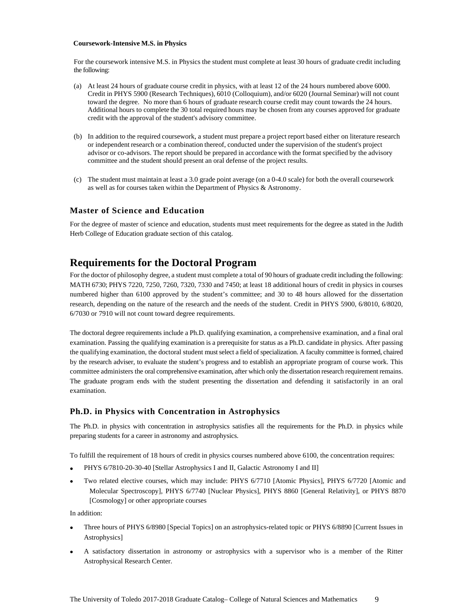#### **Coursework-Intensive M.S. in Physics**

For the coursework intensive M.S. in Physics the student must complete at least 30 hours of graduate credit including the following:

- (a) At least 24 hours of graduate course credit in physics, with at least 12 of the 24 hours numbered above 6000. Credit in PHYS 5900 (Research Techniques), 6010 (Colloquium), and/or 6020 (Journal Seminar) will not count toward the degree. No more than 6 hours of graduate research course credit may count towards the 24 hours. Additional hours to complete the 30 total required hours may be chosen from any courses approved for graduate credit with the approval of the student's advisory committee.
- (b) In addition to the required coursework, a student must prepare a project report based either on literature research or independent research or a combination thereof, conducted under the supervision of the student's project advisor or co-advisors. The report should be prepared in accordance with the format specified by the advisory committee and the student should present an oral defense of the project results.
- (c) The student must maintain at least a 3.0 grade point average (on a 0-4.0 scale) for both the overall coursework as well as for courses taken within the Department of Physics & Astronomy.

#### **Master of Science and Education**

For the degree of master of science and education, students must meet requirements for the degree as stated in the Judith Herb College of Education graduate section of this catalog.

## **Requirements for the Doctoral Program**

For the doctor of philosophy degree, a student must complete a total of 90 hours of graduate credit including the following: MATH 6730; PHYS 7220, 7250, 7260, 7320, 7330 and 7450; at least 18 additional hours of credit in physics in courses numbered higher than 6100 approved by the student's committee; and 30 to 48 hours allowed for the dissertation research, depending on the nature of the research and the needs of the student. Credit in PHYS 5900, 6/8010, 6/8020, 6/7030 or 7910 will not count toward degree requirements.

The doctoral degree requirements include a Ph.D. qualifying examination, a comprehensive examination, and a final oral examination. Passing the qualifying examination is a prerequisite for status as a Ph.D. candidate in physics. After passing the qualifying examination, the doctoral student must select a field of specialization. A faculty committee is formed, chaired by the research adviser, to evaluate the student's progress and to establish an appropriate program of course work. This committee administers the oral comprehensive examination, after which only the dissertation research requirement remains. The graduate program ends with the student presenting the dissertation and defending it satisfactorily in an oral examination.

#### **Ph.D. in Physics with Concentration in Astrophysics**

The Ph.D. in physics with concentration in astrophysics satisfies all the requirements for the Ph.D. in physics while preparing students for a career in astronomy and astrophysics.

To fulfill the requirement of 18 hours of credit in physics courses numbered above 6100, the concentration requires:

- PHYS 6/7810-20-30-40 [Stellar Astrophysics I and II, Galactic Astronomy I and II]
- Two related elective courses, which may include: PHYS 6/7710 [Atomic Physics], PHYS 6/7720 [Atomic and Molecular Spectroscopy], PHYS 6/7740 [Nuclear Physics], PHYS 8860 [General Relativity], or PHYS 8870 [Cosmology] or other appropriate courses

In addition:

- Three hours of PHYS 6/8980 [Special Topics] on an astrophysics-related topic or PHYS 6/8890 [Current Issues in Astrophysics]
- A satisfactory dissertation in astronomy or astrophysics with a supervisor who is a member of the Ritter Astrophysical Research Center.